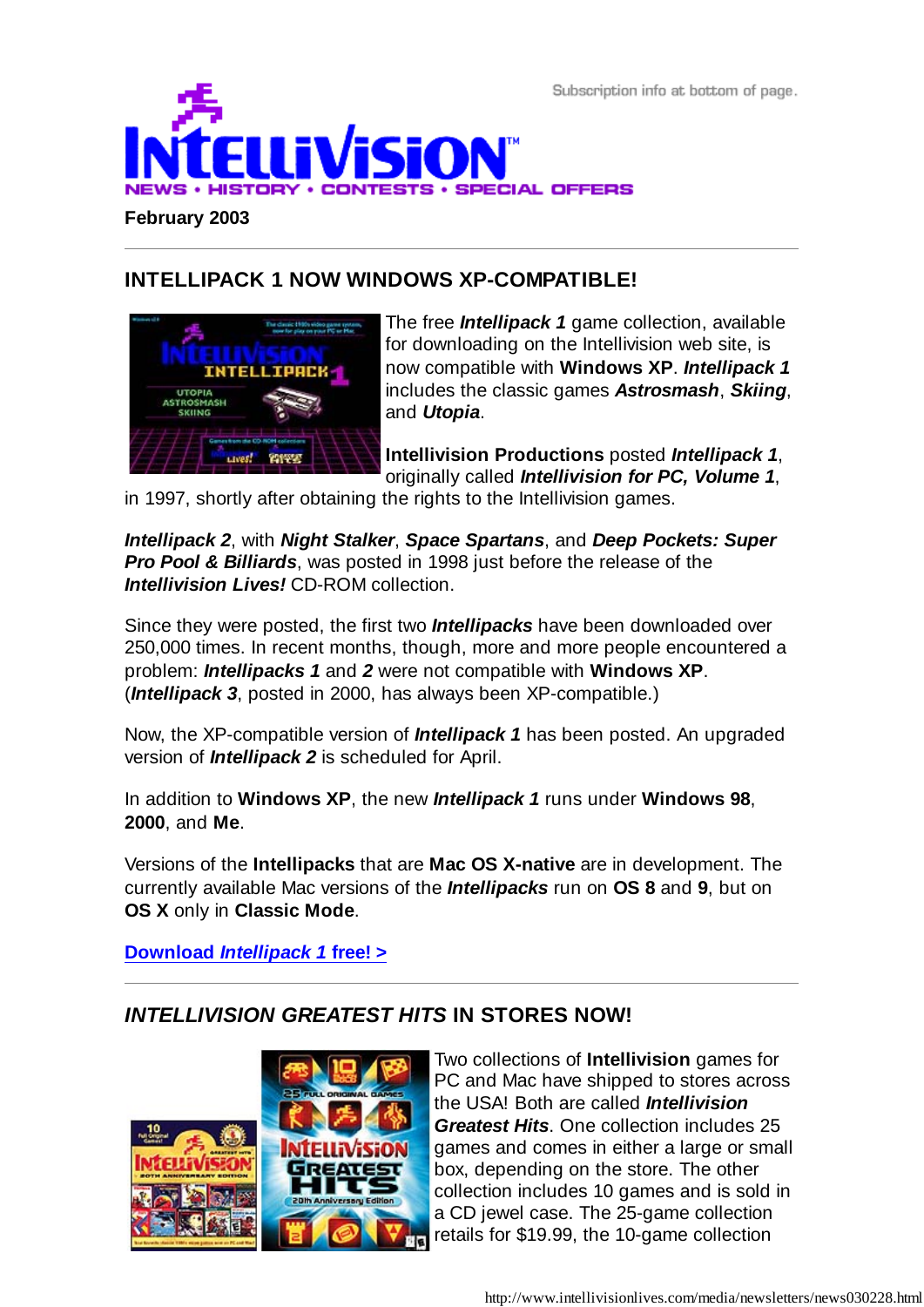Subscription info at bottom of page.



## **INTELLIPACK 1 NOW WINDOWS XP-COMPATIBLE!**



The free *Intellipack 1* game collection, available for downloading on the Intellivision web site, is now compatible with **Windows XP**. *Intellipack 1* includes the classic games *Astrosmash*, *Skiing*, and *Utopia*.

**Intellivision Productions** posted *Intellipack 1*, originally called *Intellivision for PC, Volume 1*,

in 1997, shortly after obtaining the rights to the Intellivision games.

*Intellipack 2*, with *Night Stalker*, *Space Spartans*, and *Deep Pockets: Super Pro Pool & Billiards*, was posted in 1998 just before the release of the *Intellivision Lives!* CD-ROM collection.

Since they were posted, the first two *Intellipacks* have been downloaded over 250,000 times. In recent months, though, more and more people encountered a problem: *Intellipacks 1* and *2* were not compatible with **Windows XP**. (*Intellipack 3*, posted in 2000, has always been XP-compatible.)

Now, the XP-compatible version of *Intellipack 1* has been posted. An upgraded version of *Intellipack 2* is scheduled for April.

In addition to **Windows XP**, the new *Intellipack 1* runs under **Windows 98**, **2000**, and **Me**.

Versions of the **Intellipacks** that are **Mac OS X-native** are in development. The currently available Mac versions of the *Intellipacks* run on **OS 8** and **9**, but on **OS X** only in **Classic Mode**.

**Download** *Intellipack 1* **free! >**

### *INTELLIVISION GREATEST HITS* **IN STORES NOW!**



Two collections of **Intellivision** games for PC and Mac have shipped to stores across the USA! Both are called *Intellivision Greatest Hits*. One collection includes 25 games and comes in either a large or small box, depending on the store. The other collection includes 10 games and is sold in a CD jewel case. The 25-game collection retails for \$19.99, the 10-game collection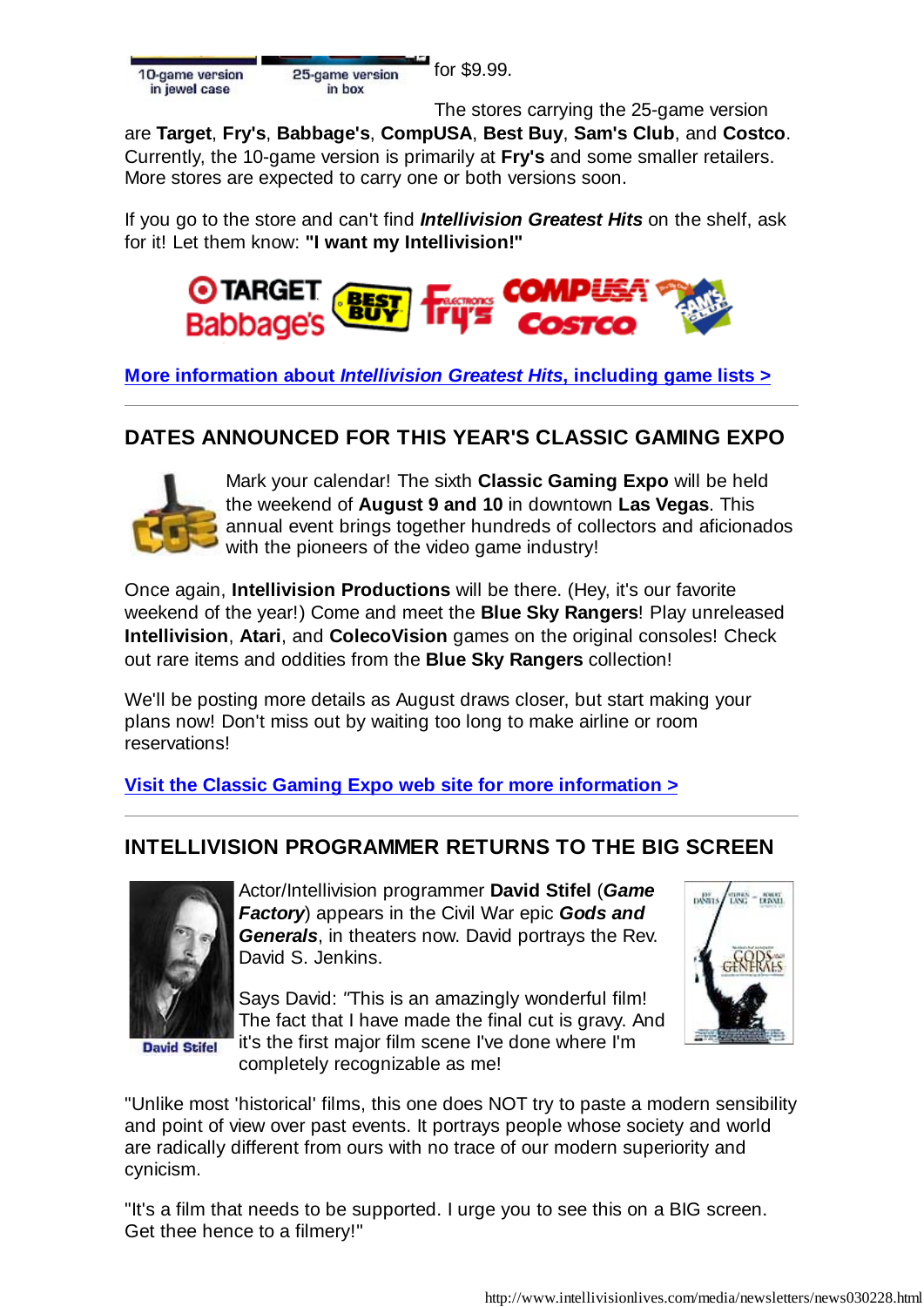for \$9.99. 25-game version in hox

The stores carrying the 25-game version

are **Target**, **Fry's**, **Babbage's**, **CompUSA**, **Best Buy**, **Sam's Club**, and **Costco**. Currently, the 10-game version is primarily at **Fry's** and some smaller retailers. More stores are expected to carry one or both versions soon.

If you go to the store and can't find *Intellivision Greatest Hits* on the shelf, ask for it! Let them know: **"I want my Intellivision!"**



**More information about** *Intellivision Greatest Hits***, including game lists >**

# **DATES ANNOUNCED FOR THIS YEAR'S CLASSIC GAMING EXPO**



Mark your calendar! The sixth **Classic Gaming Expo** will be held the weekend of **August 9 and 10** in downtown **Las Vegas**. This annual event brings together hundreds of collectors and aficionados with the pioneers of the video game industry!

Once again, **Intellivision Productions** will be there. (Hey, it's our favorite weekend of the year!) Come and meet the **Blue Sky Rangers**! Play unreleased **Intellivision**, **Atari**, and **ColecoVision** games on the original consoles! Check out rare items and oddities from the **Blue Sky Rangers** collection!

We'll be posting more details as August draws closer, but start making your plans now! Don't miss out by waiting too long to make airline or room reservations!

**Visit the Classic Gaming Expo web site for more information >**

# **INTELLIVISION PROGRAMMER RETURNS TO THE BIG SCREEN**



**David Stifel** 

Actor/Intellivision programmer **David Stifel** (*Game Factory*) appears in the Civil War epic *Gods and Generals*, in theaters now. David portrays the Rev. David S. Jenkins.

Says David: *"*This is an amazingly wonderful film! The fact that I have made the final cut is gravy. And it's the first major film scene I've done where I'm completely recognizable as me!



"Unlike most 'historical' films, this one does NOT try to paste a modern sensibility and point of view over past events. It portrays people whose society and world are radically different from ours with no trace of our modern superiority and cynicism.

"It's a film that needs to be supported. I urge you to see this on a BIG screen. Get thee hence to a filmery!"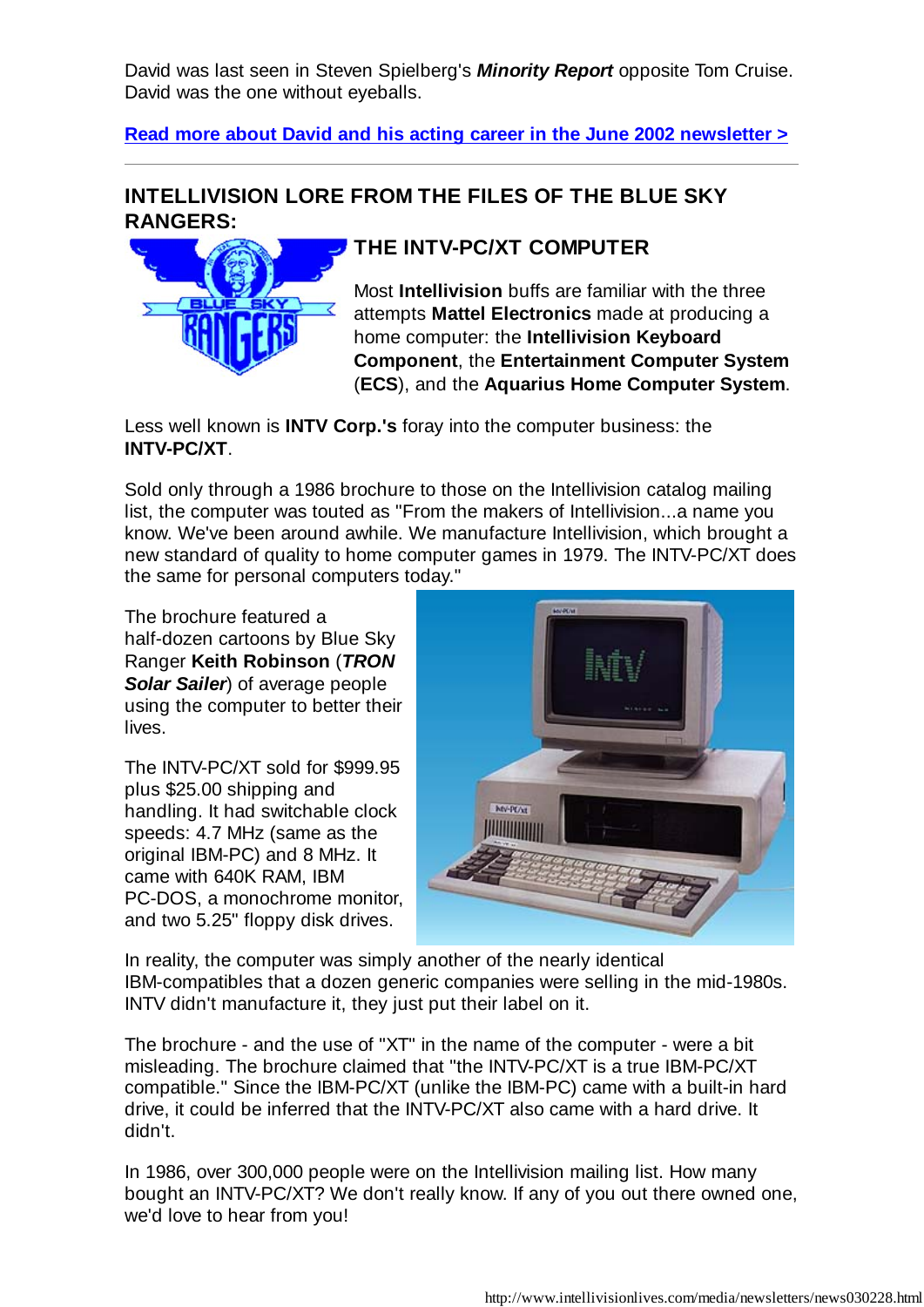David was last seen in Steven Spielberg's *Minority Report* opposite Tom Cruise. David was the one without eyeballs.

**Read more about David and his acting career in the June 2002 newsletter >**

## **INTELLIVISION LORE FROM THE FILES OF THE BLUE SKY RANGERS:**



# **THE INTV-PC/XT COMPUTER**

Most **Intellivision** buffs are familiar with the three attempts **Mattel Electronics** made at producing a home computer: the **Intellivision Keyboard Component**, the **Entertainment Computer System** (**ECS**), and the **Aquarius Home Computer System**.

Less well known is **INTV Corp.'s** foray into the computer business: the **INTV-PC/XT**.

Sold only through a 1986 brochure to those on the Intellivision catalog mailing list, the computer was touted as "From the makers of Intellivision...a name you know. We've been around awhile. We manufacture Intellivision, which brought a new standard of quality to home computer games in 1979. The INTV-PC/XT does the same for personal computers today."

The brochure featured a half-dozen cartoons by Blue Sky Ranger **Keith Robinson** (*TRON Solar Sailer*) of average people using the computer to better their lives.

The INTV-PC/XT sold for \$999.95 plus \$25.00 shipping and handling. It had switchable clock speeds: 4.7 MHz (same as the original IBM-PC) and 8 MHz. It came with 640K RAM, IBM PC-DOS, a monochrome monitor, and two 5.25" floppy disk drives.



In reality, the computer was simply another of the nearly identical IBM-compatibles that a dozen generic companies were selling in the mid-1980s. INTV didn't manufacture it, they just put their label on it.

The brochure - and the use of "XT" in the name of the computer - were a bit misleading. The brochure claimed that "the INTV-PC/XT is a true IBM-PC/XT compatible." Since the IBM-PC/XT (unlike the IBM-PC) came with a built-in hard drive, it could be inferred that the INTV-PC/XT also came with a hard drive. It didn't.

In 1986, over 300,000 people were on the Intellivision mailing list. How many bought an INTV-PC/XT? We don't really know. If any of you out there owned one, we'd love to hear from you!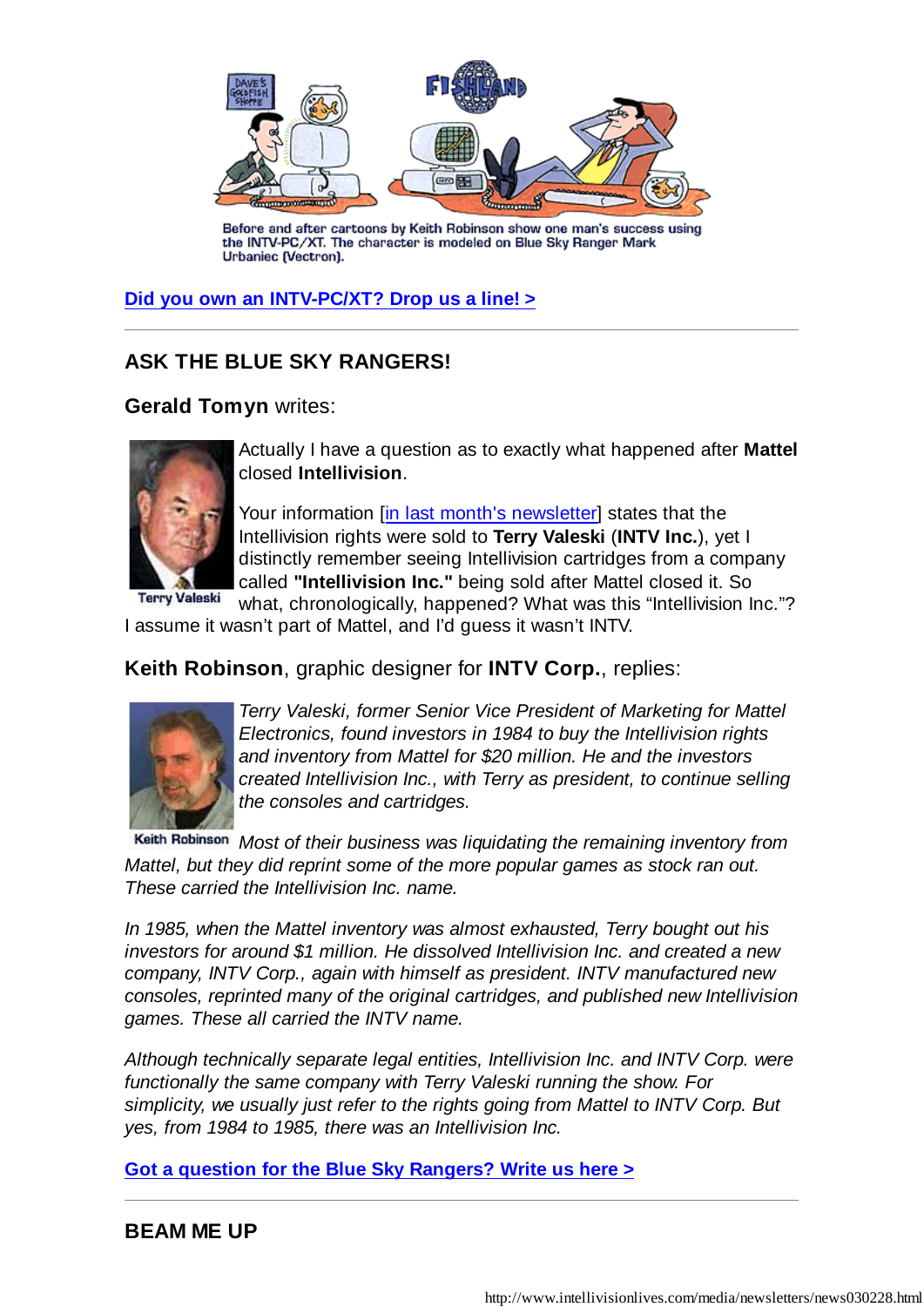

Before and after cartoons by Keith Robinson show one man's success using<br>the INTV-PC/XT. The character is modeled on Blue Sky Ranger Mark Urbaniec (Vectron).

#### **Did you own an INTV-PC/XT? Drop us a line! >**

## **ASK THE BLUE SKY RANGERS!**

### **Gerald Tomyn** writes:



Actually I have a question as to exactly what happened after **Mattel** closed **Intellivision**.

Your information [in last month's newsletter] states that the Intellivision rights were sold to **Terry Valeski** (**INTV Inc.**), yet I distinctly remember seeing Intellivision cartridges from a company called **"Intellivision Inc."** being sold after Mattel closed it. So

**Terry Valeski** what, chronologically, happened? What was this "Intellivision Inc."? I assume it wasn't part of Mattel, and I'd guess it wasn't INTV.

### **Keith Robinson**, graphic designer for **INTV Corp.**, replies:



*Terry Valeski, former Senior Vice President of Marketing for Mattel Electronics, found investors in 1984 to buy the Intellivision rights and inventory from Mattel for \$20 million. He and the investors created Intellivision Inc., with Terry as president, to continue selling the consoles and cartridges.*

*Most of their business was liquidating the remaining inventory from Mattel, but they did reprint some of the more popular games as stock ran out. These carried the Intellivision Inc. name.*

*In 1985, when the Mattel inventory was almost exhausted, Terry bought out his investors for around \$1 million. He dissolved Intellivision Inc. and created a new company, INTV Corp., again with himself as president. INTV manufactured new consoles, reprinted many of the original cartridges, and published new Intellivision games. These all carried the INTV name.*

*Although technically separate legal entities, Intellivision Inc. and INTV Corp. were functionally the same company with Terry Valeski running the show. For simplicity, we usually just refer to the rights going from Mattel to INTV Corp. But yes, from 1984 to 1985, there was an Intellivision Inc.*

**Got a question for the Blue Sky Rangers? Write us here >**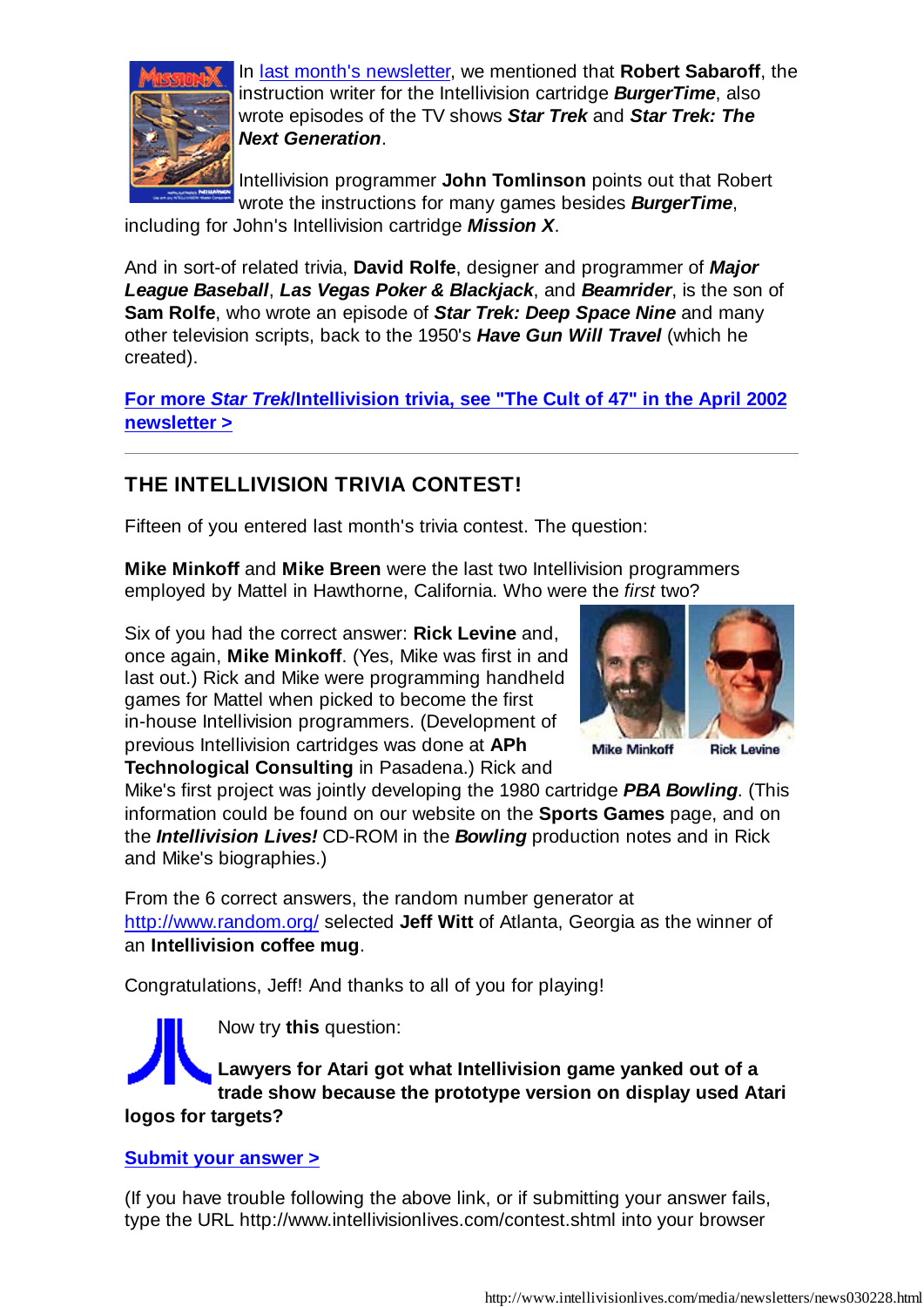

In last month's newsletter, we mentioned that **Robert Sabaroff**, the instruction writer for the Intellivision cartridge *BurgerTime*, also wrote episodes of the TV shows *Star Trek* and *Star Trek: The Next Generation*.

Intellivision programmer **John Tomlinson** points out that Robert wrote the instructions for many games besides *BurgerTime*,

including for John's Intellivision cartridge *Mission X*.

And in sort-of related trivia, **David Rolfe**, designer and programmer of *Major League Baseball*, *Las Vegas Poker & Blackjack*, and *Beamrider*, is the son of **Sam Rolfe**, who wrote an episode of *Star Trek: Deep Space Nine* and many other television scripts, back to the 1950's *Have Gun Will Travel* (which he created).

**For more** *Star Trek***/Intellivision trivia, see "The Cult of 47" in the April 2002 newsletter >**

# **THE INTELLIVISION TRIVIA CONTEST!**

Fifteen of you entered last month's trivia contest. The question:

**Mike Minkoff** and **Mike Breen** were the last two Intellivision programmers employed by Mattel in Hawthorne, California. Who were the *first* two?

Six of you had the correct answer: **Rick Levine** and, once again, **Mike Minkoff**. (Yes, Mike was first in and last out.) Rick and Mike were programming handheld games for Mattel when picked to become the first in-house Intellivision programmers. (Development of previous Intellivision cartridges was done at **APh Technological Consulting** in Pasadena.) Rick and



**Mike Minkoff Rick Levine** 

Mike's first project was jointly developing the 1980 cartridge *PBA Bowling*. (This information could be found on our website on the **Sports Games** page, and on the *Intellivision Lives!* CD-ROM in the *Bowling* production notes and in Rick and Mike's biographies.)

From the 6 correct answers, the random number generator at http://www.random.org/ selected **Jeff Witt** of Atlanta, Georgia as the winner of an **Intellivision coffee mug**.

Congratulations, Jeff! And thanks to all of you for playing!

Now try **this** question: **Lawyers for Atari got what Intellivision game yanked out of a trade show because the prototype version on display used Atari logos for targets?**

#### **Submit your answer >**

(If you have trouble following the above link, or if submitting your answer fails, type the URL http://www.intellivisionlives.com/contest.shtml into your browser